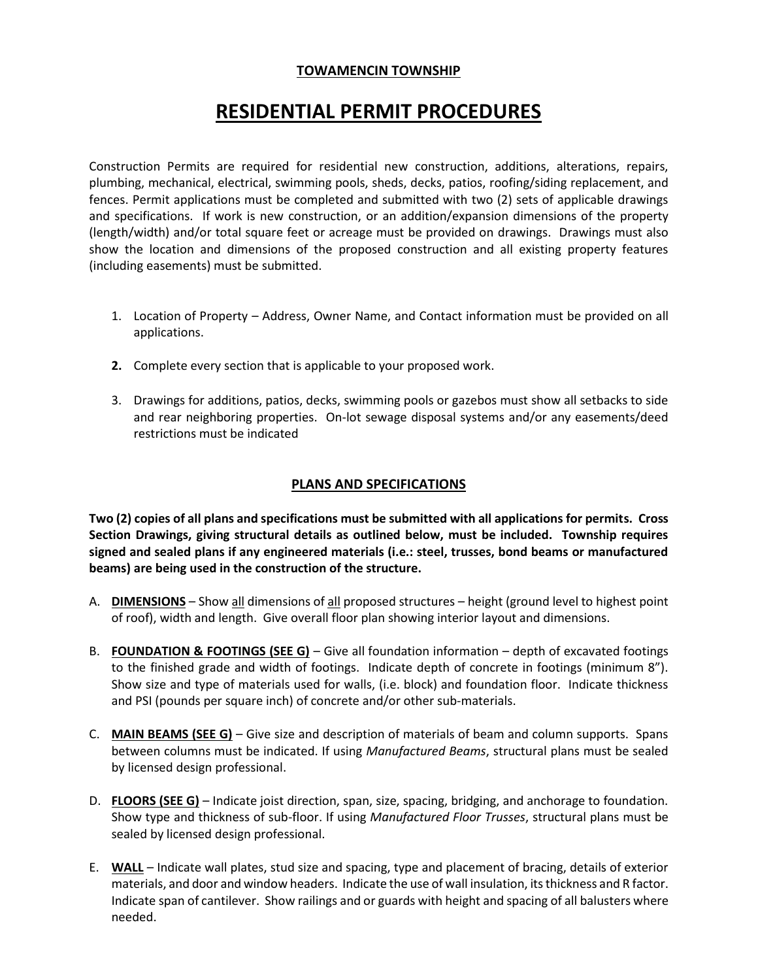## **TOWAMENCIN TOWNSHIP**

# **RESIDENTIAL PERMIT PROCEDURES**

Construction Permits are required for residential new construction, additions, alterations, repairs, plumbing, mechanical, electrical, swimming pools, sheds, decks, patios, roofing/siding replacement, and fences. Permit applications must be completed and submitted with two (2) sets of applicable drawings and specifications. If work is new construction, or an addition/expansion dimensions of the property (length/width) and/or total square feet or acreage must be provided on drawings. Drawings must also show the location and dimensions of the proposed construction and all existing property features (including easements) must be submitted.

- 1. Location of Property Address, Owner Name, and Contact information must be provided on all applications.
- **2.** Complete every section that is applicable to your proposed work.
- 3. Drawings for additions, patios, decks, swimming pools or gazebos must show all setbacks to side and rear neighboring properties. On-lot sewage disposal systems and/or any easements/deed restrictions must be indicated

#### **PLANS AND SPECIFICATIONS**

**Two (2) copies of all plans and specifications must be submitted with all applications for permits. Cross Section Drawings, giving structural details as outlined below, must be included. Township requires signed and sealed plans if any engineered materials (i.e.: steel, trusses, bond beams or manufactured beams) are being used in the construction of the structure.**

- A. **DIMENSIONS** Show all dimensions of all proposed structures height (ground level to highest point of roof), width and length. Give overall floor plan showing interior layout and dimensions.
- B. **FOUNDATION & FOOTINGS (SEE G)** Give all foundation information depth of excavated footings to the finished grade and width of footings. Indicate depth of concrete in footings (minimum 8"). Show size and type of materials used for walls, (i.e. block) and foundation floor. Indicate thickness and PSI (pounds per square inch) of concrete and/or other sub-materials.
- C. **MAIN BEAMS (SEE G)** Give size and description of materials of beam and column supports. Spans between columns must be indicated. If using *Manufactured Beams*, structural plans must be sealed by licensed design professional.
- D. **FLOORS (SEE G)** Indicate joist direction, span, size, spacing, bridging, and anchorage to foundation. Show type and thickness of sub-floor. If using *Manufactured Floor Trusses*, structural plans must be sealed by licensed design professional.
- E. **WALL** Indicate wall plates, stud size and spacing, type and placement of bracing, details of exterior materials, and door and window headers. Indicate the use of wall insulation, its thickness and R factor. Indicate span of cantilever. Show railings and or guards with height and spacing of all balusters where needed.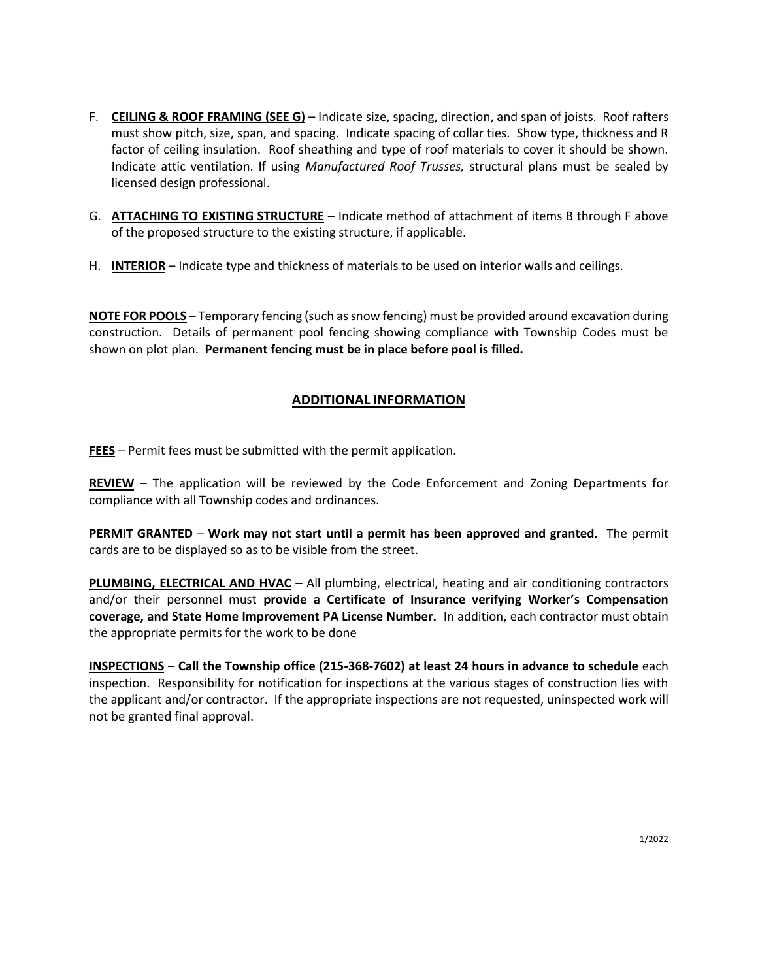- F. **CEILING & ROOF FRAMING (SEE G)** Indicate size, spacing, direction, and span of joists. Roof rafters must show pitch, size, span, and spacing. Indicate spacing of collar ties. Show type, thickness and R factor of ceiling insulation. Roof sheathing and type of roof materials to cover it should be shown. Indicate attic ventilation. If using *Manufactured Roof Trusses,* structural plans must be sealed by licensed design professional.
- G. **ATTACHING TO EXISTING STRUCTURE** Indicate method of attachment of items B through F above of the proposed structure to the existing structure, if applicable.
- H. **INTERIOR** Indicate type and thickness of materials to be used on interior walls and ceilings.

**NOTE FOR POOLS** – Temporary fencing (such as snow fencing) must be provided around excavation during construction. Details of permanent pool fencing showing compliance with Township Codes must be shown on plot plan. **Permanent fencing must be in place before pool is filled.**

### **ADDITIONAL INFORMATION**

**FEES** – Permit fees must be submitted with the permit application.

**REVIEW** – The application will be reviewed by the Code Enforcement and Zoning Departments for compliance with all Township codes and ordinances.

**PERMIT GRANTED** – **Work may not start until a permit has been approved and granted.** The permit cards are to be displayed so as to be visible from the street.

**PLUMBING, ELECTRICAL AND HVAC** – All plumbing, electrical, heating and air conditioning contractors and/or their personnel must **provide a Certificate of Insurance verifying Worker's Compensation coverage, and State Home Improvement PA License Number.** In addition, each contractor must obtain the appropriate permits for the work to be done

**INSPECTIONS** – **Call the Township office (215-368-7602) at least 24 hours in advance to schedule** each inspection. Responsibility for notification for inspections at the various stages of construction lies with the applicant and/or contractor. If the appropriate inspections are not requested, uninspected work will not be granted final approval.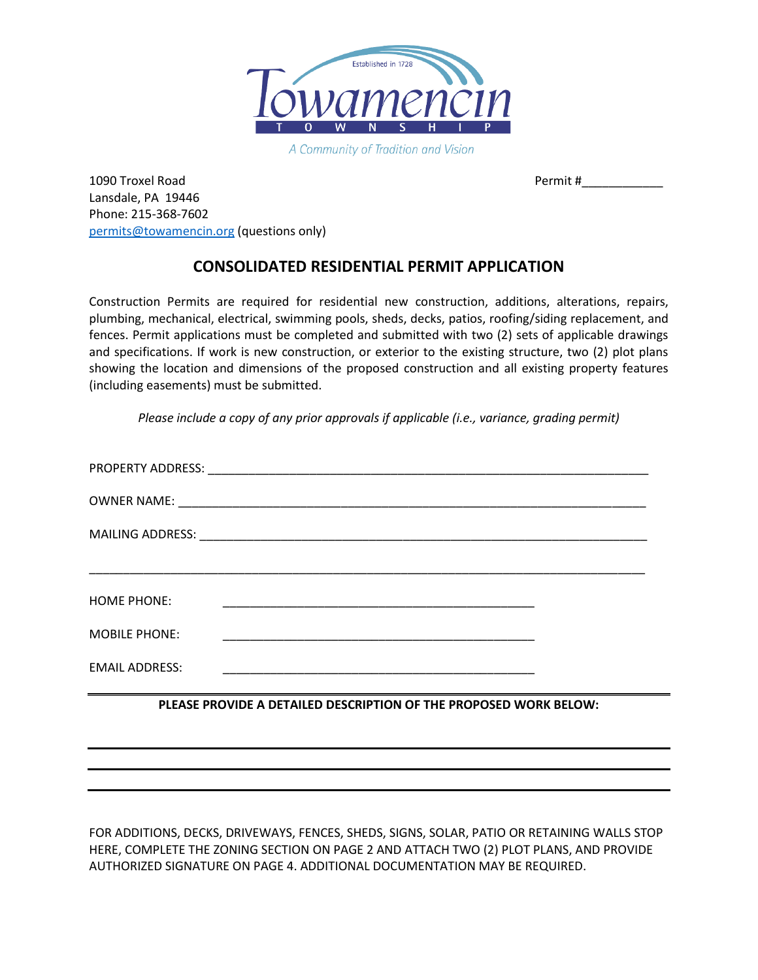

A Community of Tradition and Vision

1090 Troxel Road Permit # Lansdale, PA 19446 Phone: 215-368-7602 [permits@towamencin.org](mailto:permits@towamencin.org) (questions only)

# **CONSOLIDATED RESIDENTIAL PERMIT APPLICATION**

Construction Permits are required for residential new construction, additions, alterations, repairs, plumbing, mechanical, electrical, swimming pools, sheds, decks, patios, roofing/siding replacement, and fences. Permit applications must be completed and submitted with two (2) sets of applicable drawings and specifications. If work is new construction, or exterior to the existing structure, two (2) plot plans showing the location and dimensions of the proposed construction and all existing property features (including easements) must be submitted.

*Please include a copy of any prior approvals if applicable (i.e., variance, grading permit)*

| <b>HOME PHONE:</b>    | <u> 1989 - Johann Stein, Amerikaansk politiker (* 1958)</u>                                                           |  |
|-----------------------|-----------------------------------------------------------------------------------------------------------------------|--|
| <b>MOBILE PHONE:</b>  | <u> 1989 - Johann John Stone, markin film yn y system yn y system yn y system yn y system yn y system yn y system</u> |  |
| <b>EMAIL ADDRESS:</b> | <u> 1989 - John Stein, mars and der Stein and der Stein and der Stein and der Stein and der Stein and der Stein a</u> |  |
|                       | PLEASE PROVIDE A DETAILED DESCRIPTION OF THE PROPOSED WORK BELOW:                                                     |  |

FOR ADDITIONS, DECKS, DRIVEWAYS, FENCES, SHEDS, SIGNS, SOLAR, PATIO OR RETAINING WALLS STOP HERE, COMPLETE THE ZONING SECTION ON PAGE 2 AND ATTACH TWO (2) PLOT PLANS, AND PROVIDE AUTHORIZED SIGNATURE ON PAGE 4. ADDITIONAL DOCUMENTATION MAY BE REQUIRED.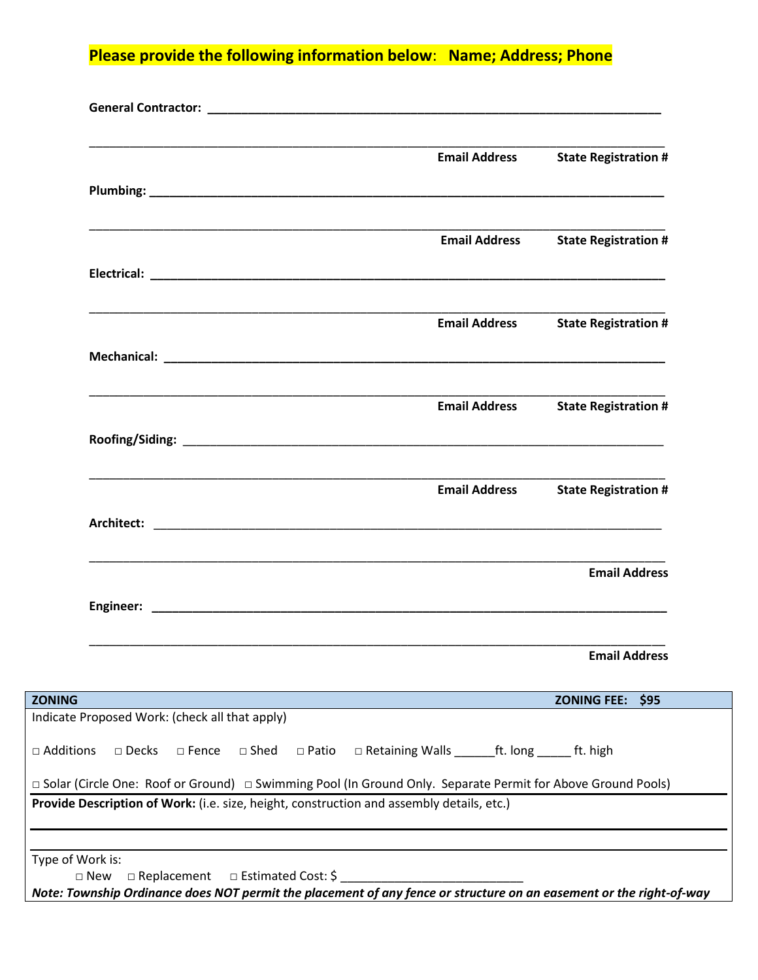**Please provide the following information below**: **Name; Address; Phone**

|                                                                                                               | <b>Email Address</b>                                  | <b>State Registration #</b>               |
|---------------------------------------------------------------------------------------------------------------|-------------------------------------------------------|-------------------------------------------|
|                                                                                                               |                                                       |                                           |
|                                                                                                               |                                                       |                                           |
|                                                                                                               |                                                       | <b>Email Address</b> State Registration # |
|                                                                                                               |                                                       |                                           |
|                                                                                                               | <b>Email Address</b>                                  | <b>State Registration #</b>               |
|                                                                                                               |                                                       |                                           |
|                                                                                                               |                                                       | <b>Email Address</b> State Registration # |
|                                                                                                               |                                                       |                                           |
|                                                                                                               | <b>Email Address</b>                                  | <b>State Registration #</b>               |
|                                                                                                               |                                                       |                                           |
|                                                                                                               |                                                       | <b>Email Address</b>                      |
|                                                                                                               |                                                       |                                           |
|                                                                                                               |                                                       | <b>Email Address</b>                      |
| <b>ZONING</b>                                                                                                 |                                                       | <b>ZONING FEE:</b><br>\$95                |
| Indicate Proposed Work: (check all that apply)                                                                |                                                       |                                           |
| □ Additions<br>$\square$ Shed<br>$\square$ Decks<br>$\Box$ Fence<br>$\Box$ Patio                              | □ Retaining Walls _________ ft. long _______ ft. high |                                           |
| □ Solar (Circle One: Roof or Ground) □ Swimming Pool (In Ground Only. Separate Permit for Above Ground Pools) |                                                       |                                           |
| Provide Description of Work: (i.e. size, height, construction and assembly details, etc.)                     |                                                       |                                           |
|                                                                                                               |                                                       |                                           |
|                                                                                                               |                                                       |                                           |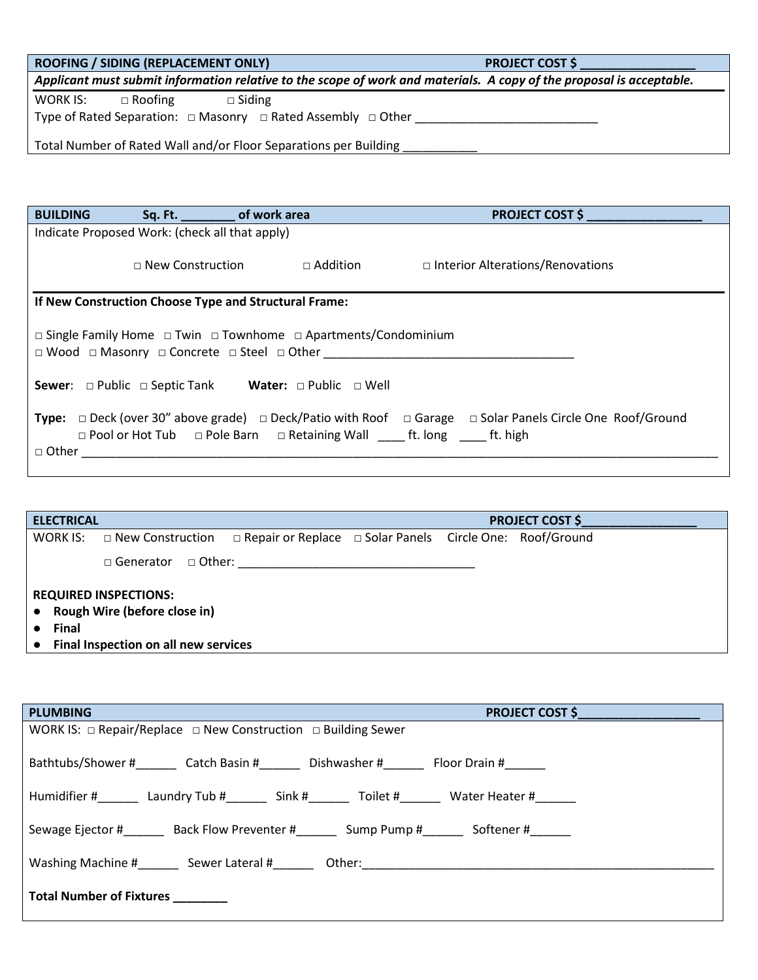| ROOFING / SIDING (REPLACEMENT ONLY)<br>and the state of the state of the state of the state of the state of the state of the state of the state of th | <b>PROJECT COST \$</b> |  |  |
|-------------------------------------------------------------------------------------------------------------------------------------------------------|------------------------|--|--|
| Applicant must submit information relative to the scope of work and materials. A copy of the proposal is acceptable.                                  |                        |  |  |
| WORK IS: $\square$ Roofing $\square$ Siding                                                                                                           |                        |  |  |
|                                                                                                                                                       |                        |  |  |
| Total Number of Rated Wall and/or Floor Separations per Building _______________                                                                      |                        |  |  |
|                                                                                                                                                       |                        |  |  |
|                                                                                                                                                       |                        |  |  |
|                                                                                                                                                       |                        |  |  |
|                                                                                                                                                       |                        |  |  |
| BUILDING Sq. Ft. __________ of work area<br><u> 1989 - Johann Barbara, martxa amerikan personal (</u>                                                 | PROJECT COST \$        |  |  |
| Indicate Proposed Work: (check all that apply)                                                                                                        |                        |  |  |
|                                                                                                                                                       |                        |  |  |
| $\square$ New Construction $\square$ Addition $\square$ Interior Alterations/Renovations                                                              |                        |  |  |
|                                                                                                                                                       |                        |  |  |
| If New Construction Choose Type and Structural Frame:                                                                                                 |                        |  |  |
|                                                                                                                                                       |                        |  |  |
| $\Box$ Single Family Home $\Box$ Twin $\Box$ Townhome $\Box$ Apartments/Condominium                                                                   |                        |  |  |
| $\Box$ Wood $\Box$ Masonry $\Box$ Concrete $\Box$ Steel $\Box$ Other                                                                                  |                        |  |  |
|                                                                                                                                                       |                        |  |  |
| <b>Sewer:</b> $\Box$ Public $\Box$ Septic Tank Water: $\Box$ Public $\Box$ Well                                                                       |                        |  |  |
|                                                                                                                                                       |                        |  |  |
| <b>Type:</b> $\Box$ Deck (over 30" above grade) $\Box$ Deck/Patio with Roof $\Box$ Garage $\Box$ Solar Panels Circle One Roof/Ground                  |                        |  |  |
| □ Pool or Hot Tub □ Pole Barn □ Retaining Wall ______ ft. long _______ ft. high                                                                       |                        |  |  |
| $\Box$ Other                                                                                                                                          |                        |  |  |

| <b>ELECTRICAL</b>                                              |                                                                                              | <b>PROJECT COST \$</b> |  |  |  |  |
|----------------------------------------------------------------|----------------------------------------------------------------------------------------------|------------------------|--|--|--|--|
| WORK IS:                                                       | $\Box$ New Construction $\Box$ Repair or Replace $\Box$ Solar Panels Circle One: Roof/Ground |                        |  |  |  |  |
|                                                                | $\Box$ Generator $\Box$ Other:                                                               |                        |  |  |  |  |
| <b>REQUIRED INSPECTIONS:</b><br>• Rough Wire (before close in) |                                                                                              |                        |  |  |  |  |
| Final                                                          |                                                                                              |                        |  |  |  |  |
| $\bullet$                                                      | Final Inspection on all new services                                                         |                        |  |  |  |  |

| <b>PLUMBING</b><br><b>PROJECT COST \$</b>                                                    |  |  |  |
|----------------------------------------------------------------------------------------------|--|--|--|
| WORK IS: $\Box$ Repair/Replace $\Box$ New Construction $\Box$ Building Sewer                 |  |  |  |
| Bathtubs/Shower # Catch Basin # Dishwasher # Floor Drain #                                   |  |  |  |
| Humidifier # Laundry Tub # ________ Sink # ________ Toilet # ________ Water Heater # _______ |  |  |  |
| Sewage Ejector # Back Flow Preventer # Sump Pump # Softener #                                |  |  |  |
| Washing Machine # Sewer Lateral #                                                            |  |  |  |
| <b>Total Number of Fixtures</b>                                                              |  |  |  |